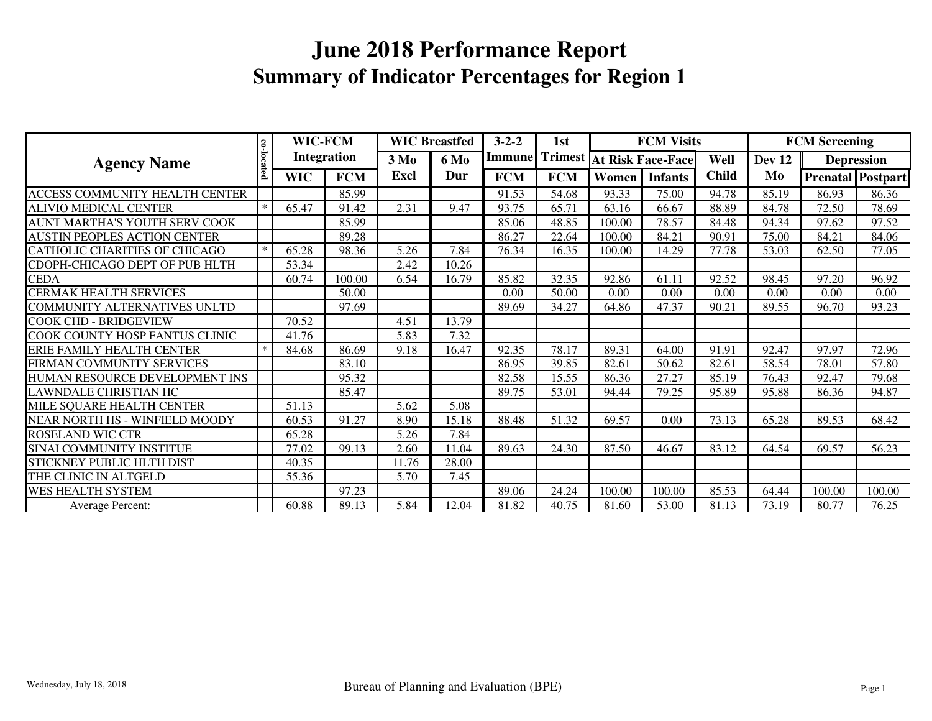| <b>Agency Name</b>                    |            | WIC-FCM<br><b>Integration</b> |            | <b>WIC Breastfed</b>            |       | $3 - 2 - 2$   | 1st<br><b>Trimest</b> |                          | <b>FCM Visits</b> |              |        | <b>FCM Screening</b> |                   |
|---------------------------------------|------------|-------------------------------|------------|---------------------------------|-------|---------------|-----------------------|--------------------------|-------------------|--------------|--------|----------------------|-------------------|
|                                       |            |                               |            | 3 M <sub>0</sub><br><b>6 Mo</b> |       | <b>Immune</b> |                       | <b>At Risk Face-Face</b> |                   | Well         | Dev 12 | <b>Depression</b>    |                   |
|                                       | co-located | <b>WIC</b>                    | <b>FCM</b> | Excl                            | Dur   | <b>FCM</b>    | <b>FCM</b>            | Women                    | <b>Infants</b>    | <b>Child</b> | Mo     |                      | Prenatal Postpart |
| <b>ACCESS COMMUNITY HEALTH CENTER</b> |            |                               | 85.99      |                                 |       | 91.53         | 54.68                 | 93.33                    | 75.00             | 94.78        | 85.19  | 86.93                | 86.36             |
| <b>ALIVIO MEDICAL CENTER</b>          | $*$        | 65.47                         | 91.42      | 2.31                            | 9.47  | 93.75         | 65.71                 | 63.16                    | 66.67             | 88.89        | 84.78  | 72.50                | 78.69             |
| AUNT MARTHA'S YOUTH SERV COOK         |            |                               | 85.99      |                                 |       | 85.06         | 48.85                 | 100.00                   | 78.57             | 84.48        | 94.34  | 97.62                | 97.52             |
| <b>AUSTIN PEOPLES ACTION CENTER</b>   |            |                               | 89.28      |                                 |       | 86.27         | 22.64                 | 100.00                   | 84.21             | 90.91        | 75.00  | 84.21                | 84.06             |
| <b>CATHOLIC CHARITIES OF CHICAGO</b>  | $*$        | 65.28                         | 98.36      | 5.26                            | 7.84  | 76.34         | 16.35                 | 100.00                   | 14.29             | 77.78        | 53.03  | 62.50                | 77.05             |
| CDOPH-CHICAGO DEPT OF PUB HLTH        |            | 53.34                         |            | 2.42                            | 10.26 |               |                       |                          |                   |              |        |                      |                   |
| <b>CEDA</b>                           |            | 60.74                         | 100.00     | 6.54                            | 16.79 | 85.82         | 32.35                 | 92.86                    | 61.11             | 92.52        | 98.45  | 97.20                | 96.92             |
| <b>CERMAK HEALTH SERVICES</b>         |            |                               | 50.00      |                                 |       | 0.00          | 50.00                 | 0.00                     | 0.00              | 0.00         | 0.00   | 0.00                 | 0.00              |
| COMMUNITY ALTERNATIVES UNLTD          |            |                               | 97.69      |                                 |       | 89.69         | 34.27                 | 64.86                    | 47.37             | 90.21        | 89.55  | 96.70                | 93.23             |
| <b>COOK CHD - BRIDGEVIEW</b>          |            | 70.52                         |            | 4.51                            | 13.79 |               |                       |                          |                   |              |        |                      |                   |
| COOK COUNTY HOSP FANTUS CLINIC        |            | 41.76                         |            | 5.83                            | 7.32  |               |                       |                          |                   |              |        |                      |                   |
| ERIE FAMILY HEALTH CENTER             | $\ast$     | 84.68                         | 86.69      | 9.18                            | 16.47 | 92.35         | 78.17                 | 89.31                    | 64.00             | 91.91        | 92.47  | 97.97                | 72.96             |
| FIRMAN COMMUNITY SERVICES             |            |                               | 83.10      |                                 |       | 86.95         | 39.85                 | 82.61                    | 50.62             | 82.61        | 58.54  | 78.01                | 57.80             |
| HUMAN RESOURCE DEVELOPMENT INS        |            |                               | 95.32      |                                 |       | 82.58         | 15.55                 | 86.36                    | 27.27             | 85.19        | 76.43  | 92.47                | 79.68             |
| <b>LAWNDALE CHRISTIAN HC</b>          |            |                               | 85.47      |                                 |       | 89.75         | 53.01                 | 94.44                    | 79.25             | 95.89        | 95.88  | 86.36                | 94.87             |
| MILE SQUARE HEALTH CENTER             |            | 51.13                         |            | 5.62                            | 5.08  |               |                       |                          |                   |              |        |                      |                   |
| NEAR NORTH HS - WINFIELD MOODY        |            | 60.53                         | 91.27      | 8.90                            | 15.18 | 88.48         | 51.32                 | 69.57                    | 0.00              | 73.13        | 65.28  | 89.53                | 68.42             |
| <b>ROSELAND WIC CTR</b>               |            | 65.28                         |            | 5.26                            | 7.84  |               |                       |                          |                   |              |        |                      |                   |
| SINAI COMMUNITY INSTITUE              |            | 77.02                         | 99.13      | 2.60                            | 11.04 | 89.63         | 24.30                 | 87.50                    | 46.67             | 83.12        | 64.54  | 69.57                | 56.23             |
| STICKNEY PUBLIC HLTH DIST             |            | 40.35                         |            | 11.76                           | 28.00 |               |                       |                          |                   |              |        |                      |                   |
| THE CLINIC IN ALTGELD                 |            | 55.36                         |            | 5.70                            | 7.45  |               |                       |                          |                   |              |        |                      |                   |
| <b>WES HEALTH SYSTEM</b>              |            |                               | 97.23      |                                 |       | 89.06         | 24.24                 | 100.00                   | 100.00            | 85.53        | 64.44  | 100.00               | 100.00            |
| Average Percent:                      |            | 60.88                         | 89.13      | 5.84                            | 12.04 | 81.82         | 40.75                 | 81.60                    | 53.00             | 81.13        | 73.19  | 80.77                | 76.25             |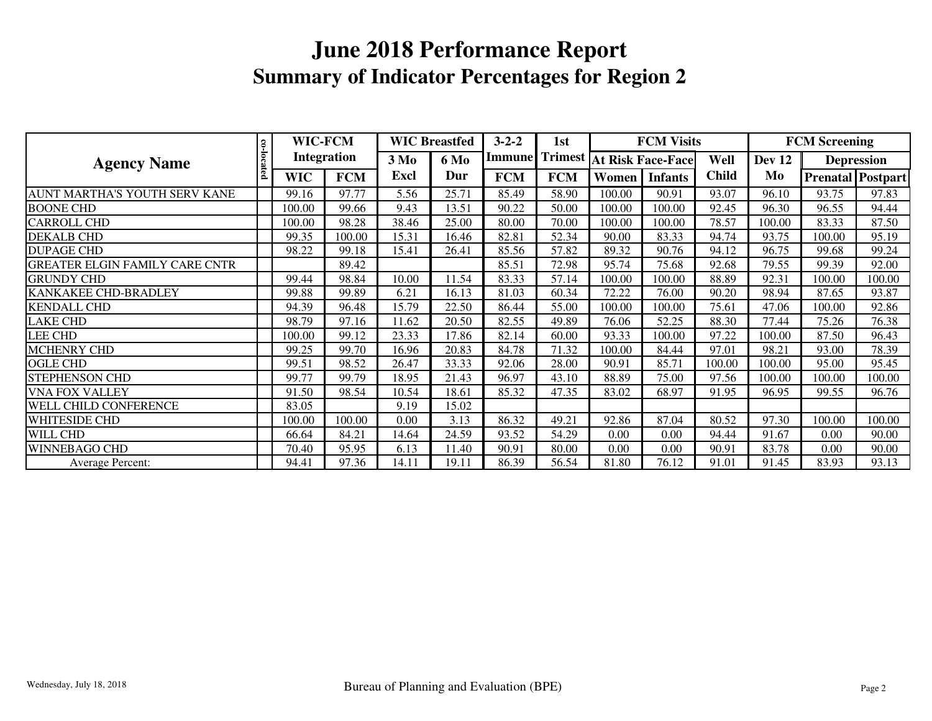|                                       |            | <b>WIC-FCM</b><br><b>Integration</b> |            | <b>WIC Breastfed</b>     |       | $3 - 2 - 2$   | 1st            |                          | <b>FCM Visits</b> |              | <b>FCM Screening</b> |        |                          |
|---------------------------------------|------------|--------------------------------------|------------|--------------------------|-------|---------------|----------------|--------------------------|-------------------|--------------|----------------------|--------|--------------------------|
| <b>Agency Name</b>                    |            |                                      |            | 3 M <sub>0</sub><br>6 Mo |       | <b>Immune</b> | <b>Trimest</b> | <b>At Risk Face-Face</b> |                   | Well         | Dev 12               |        | <b>Depression</b>        |
|                                       | co-located | <b>WIC</b>                           | <b>FCM</b> | Excl                     | Dur   | <b>FCM</b>    | <b>FCM</b>     | Women                    | <b>Infants</b>    | <b>Child</b> | Mo                   |        | <b>Prenatal Postpart</b> |
| AUNT MARTHA'S YOUTH SERV KANE         |            | 99.16                                | 97.77      | 5.56                     | 25.71 | 85.49         | 58.90          | 100.00                   | 90.91             | 93.07        | 96.10                | 93.75  | 97.83                    |
| <b>BOONE CHD</b>                      |            | 100.00                               | 99.66      | 9.43                     | 13.51 | 90.22         | 50.00          | 100.00                   | 100.00            | 92.45        | 96.30                | 96.55  | 94.44                    |
| <b>CARROLL CHD</b>                    |            | 100.00                               | 98.28      | 38.46                    | 25.00 | 80.00         | 70.00          | 100.00                   | 100.00            | 78.57        | 100.00               | 83.33  | 87.50                    |
| <b>DEKALB CHD</b>                     |            | 99.35                                | 100.00     | 15.31                    | 16.46 | 82.81         | 52.34          | 90.00                    | 83.33             | 94.74        | 93.75                | 100.00 | 95.19                    |
| <b>DUPAGE CHD</b>                     |            | 98.22                                | 99.18      | 15.41                    | 26.41 | 85.56         | 57.82          | 89.32                    | 90.76             | 94.12        | 96.75                | 99.68  | 99.24                    |
| <b>GREATER ELGIN FAMILY CARE CNTR</b> |            |                                      | 89.42      |                          |       | 85.51         | 72.98          | 95.74                    | 75.68             | 92.68        | 79.55                | 99.39  | 92.00                    |
| <b>GRUNDY CHD</b>                     |            | 99.44                                | 98.84      | 10.00                    | 11.54 | 83.33         | 57.14          | 100.00                   | 100.00            | 88.89        | 92.31                | 100.00 | 100.00                   |
| KANKAKEE CHD-BRADLEY                  |            | 99.88                                | 99.89      | 6.21                     | 16.13 | 81.03         | 60.34          | 72.22                    | 76.00             | 90.20        | 98.94                | 87.65  | 93.87                    |
| <b>KENDALL CHD</b>                    |            | 94.39                                | 96.48      | 15.79                    | 22.50 | 86.44         | 55.00          | 100.00                   | 100.00            | 75.61        | 47.06                | 100.00 | 92.86                    |
| <b>LAKE CHD</b>                       |            | 98.79                                | 97.16      | 11.62                    | 20.50 | 82.55         | 49.89          | 76.06                    | 52.25             | 88.30        | 77.44                | 75.26  | 76.38                    |
| <b>LEE CHD</b>                        |            | 100.00                               | 99.12      | 23.33                    | 17.86 | 82.14         | 60.00          | 93.33                    | 100.00            | 97.22        | 100.00               | 87.50  | 96.43                    |
| <b>MCHENRY CHD</b>                    |            | 99.25                                | 99.70      | 16.96                    | 20.83 | 84.78         | 71.32          | 100.00                   | 84.44             | 97.01        | 98.21                | 93.00  | 78.39                    |
| <b>OGLE CHD</b>                       |            | 99.51                                | 98.52      | 26.47                    | 33.33 | 92.06         | 28.00          | 90.91                    | 85.71             | 100.00       | 100.00               | 95.00  | 95.45                    |
| <b>STEPHENSON CHD</b>                 |            | 99.77                                | 99.79      | 18.95                    | 21.43 | 96.97         | 43.10          | 88.89                    | 75.00             | 97.56        | 100.00               | 100.00 | 100.00                   |
| <b>VNA FOX VALLEY</b>                 |            | 91.50                                | 98.54      | 10.54                    | 18.61 | 85.32         | 47.35          | 83.02                    | 68.97             | 91.95        | 96.95                | 99.55  | 96.76                    |
| <b>WELL CHILD CONFERENCE</b>          |            | 83.05                                |            | 9.19                     | 15.02 |               |                |                          |                   |              |                      |        |                          |
| <b>WHITESIDE CHD</b>                  |            | 100.00                               | 100.00     | 0.00                     | 3.13  | 86.32         | 49.21          | 92.86                    | 87.04             | 80.52        | 97.30                | 100.00 | 100.00                   |
| WILL CHD                              |            | 66.64                                | 84.21      | 14.64                    | 24.59 | 93.52         | 54.29          | 0.00                     | 0.00              | 94.44        | 91.67                | 0.00   | 90.00                    |
| <b>WINNEBAGO CHD</b>                  |            | 70.40                                | 95.95      | 6.13                     | 11.40 | 90.91         | 80.00          | 0.00                     | 0.00              | 90.91        | 83.78                | 0.00   | 90.00                    |
| <b>Average Percent:</b>               |            | 94.41                                | 97.36      | 14.11                    | 19.11 | 86.39         | 56.54          | 81.80                    | 76.12             | 91.01        | 91.45                | 83.93  | 93.13                    |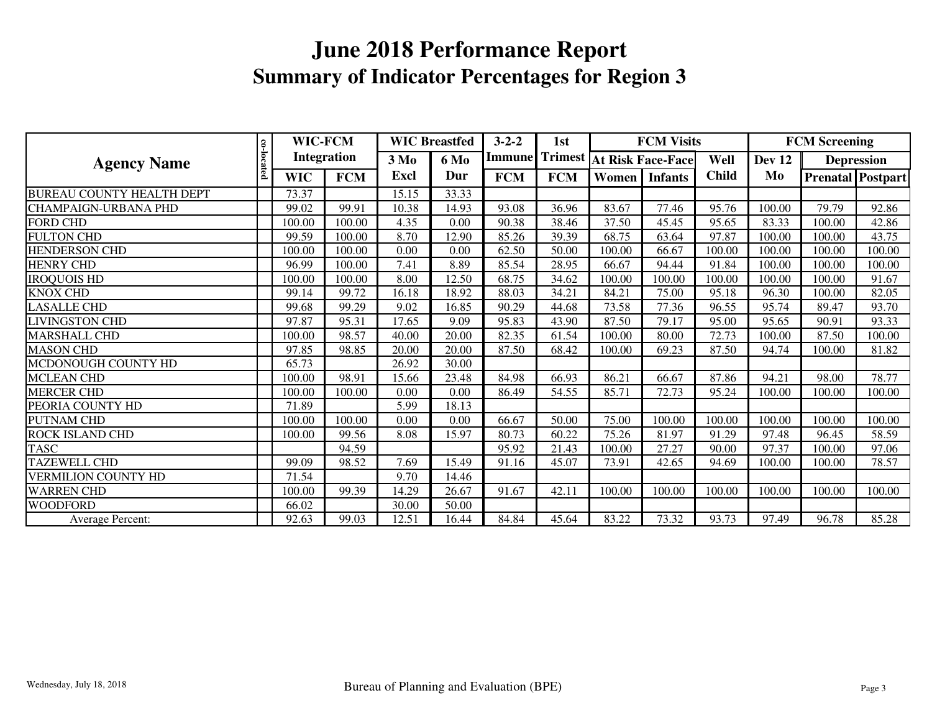| <b>Agency Name</b>               |            | WIC-FCM<br>Integration |            | <b>WIC Breastfed</b> |             | $3 - 2 - 2$ | 1st        |                                         | <b>FCM Visits</b> |              |               | <b>FCM Screening</b> |                          |  |
|----------------------------------|------------|------------------------|------------|----------------------|-------------|-------------|------------|-----------------------------------------|-------------------|--------------|---------------|----------------------|--------------------------|--|
|                                  |            |                        |            | 3 M <sub>0</sub>     | <b>6 Mo</b> |             |            | <b>Immune Trimest At Risk Face-Face</b> |                   | Well         | <b>Dev 12</b> | <b>Depression</b>    |                          |  |
|                                  | co-located | <b>WIC</b>             | <b>FCM</b> | Excl                 | Dur         | <b>FCM</b>  | <b>FCM</b> | Women                                   | <b>Infants</b>    | <b>Child</b> | Mo            |                      | <b>Prenatal Postpart</b> |  |
| <b>BUREAU COUNTY HEALTH DEPT</b> |            | 73.37                  |            | 15.15                | 33.33       |             |            |                                         |                   |              |               |                      |                          |  |
| <b>CHAMPAIGN-URBANA PHD</b>      |            | 99.02                  | 99.91      | 10.38                | 14.93       | 93.08       | 36.96      | 83.67                                   | 77.46             | 95.76        | 100.00        | 79.79                | 92.86                    |  |
| <b>FORD CHD</b>                  |            | 100.00                 | 100.00     | 4.35                 | 0.00        | 90.38       | 38.46      | 37.50                                   | 45.45             | 95.65        | 83.33         | 100.00               | 42.86                    |  |
| <b>FULTON CHD</b>                |            | 99.59                  | 100.00     | 8.70                 | 12.90       | 85.26       | 39.39      | 68.75                                   | 63.64             | 97.87        | 100.00        | 100.00               | 43.75                    |  |
| HENDERSON CHD                    |            | 100.00                 | 100.00     | 0.00                 | 0.00        | 62.50       | 50.00      | 100.00                                  | 66.67             | 100.00       | 100.00        | 100.00               | 100.00                   |  |
| <b>HENRY CHD</b>                 |            | 96.99                  | 100.00     | 7.41                 | 8.89        | 85.54       | 28.95      | 66.67                                   | 94.44             | 91.84        | 100.00        | 100.00               | 100.00                   |  |
| <b>IROQUOIS HD</b>               |            | 100.00                 | 100.00     | 8.00                 | 12.50       | 68.75       | 34.62      | 100.00                                  | 100.00            | 100.00       | 100.00        | 100.00               | 91.67                    |  |
| <b>KNOX CHD</b>                  |            | 99.14                  | 99.72      | 16.18                | 18.92       | 88.03       | 34.21      | 84.21                                   | 75.00             | 95.18        | 96.30         | 100.00               | 82.05                    |  |
| <b>LASALLE CHD</b>               |            | 99.68                  | 99.29      | 9.02                 | 16.85       | 90.29       | 44.68      | 73.58                                   | 77.36             | 96.55        | 95.74         | 89.47                | 93.70                    |  |
| <b>LIVINGSTON CHD</b>            |            | 97.87                  | 95.31      | 17.65                | 9.09        | 95.83       | 43.90      | 87.50                                   | 79.17             | 95.00        | 95.65         | 90.91                | 93.33                    |  |
| <b>MARSHALL CHD</b>              |            | 100.00                 | 98.57      | 40.00                | 20.00       | 82.35       | 61.54      | 100.00                                  | 80.00             | 72.73        | 100.00        | 87.50                | 100.00                   |  |
| <b>MASON CHD</b>                 |            | 97.85                  | 98.85      | 20.00                | 20.00       | 87.50       | 68.42      | 100.00                                  | 69.23             | 87.50        | 94.74         | 100.00               | 81.82                    |  |
| MCDONOUGH COUNTY HD              |            | 65.73                  |            | 26.92                | 30.00       |             |            |                                         |                   |              |               |                      |                          |  |
| <b>MCLEAN CHD</b>                |            | 100.00                 | 98.91      | 15.66                | 23.48       | 84.98       | 66.93      | 86.21                                   | 66.67             | 87.86        | 94.21         | 98.00                | 78.77                    |  |
| <b>MERCER CHD</b>                |            | 100.00                 | 100.00     | 0.00                 | 0.00        | 86.49       | 54.55      | 85.71                                   | 72.73             | 95.24        | 100.00        | 100.00               | 100.00                   |  |
| PEORIA COUNTY HD                 |            | 71.89                  |            | 5.99                 | 18.13       |             |            |                                         |                   |              |               |                      |                          |  |
| PUTNAM CHD                       |            | 100.00                 | 100.00     | 0.00                 | 0.00        | 66.67       | 50.00      | 75.00                                   | 100.00            | 100.00       | 100.00        | 100.00               | 100.00                   |  |
| ROCK ISLAND CHD                  |            | 100.00                 | 99.56      | 8.08                 | 15.97       | 80.73       | 60.22      | 75.26                                   | 81.97             | 91.29        | 97.48         | 96.45                | 58.59                    |  |
| <b>TASC</b>                      |            |                        | 94.59      |                      |             | 95.92       | 21.43      | 100.00                                  | 27.27             | 90.00        | 97.37         | 100.00               | 97.06                    |  |
| <b>TAZEWELL CHD</b>              |            | 99.09                  | 98.52      | 7.69                 | 15.49       | 91.16       | 45.07      | 73.91                                   | 42.65             | 94.69        | 100.00        | 100.00               | 78.57                    |  |
| VERMILION COUNTY HD              |            | 71.54                  |            | 9.70                 | 14.46       |             |            |                                         |                   |              |               |                      |                          |  |
| <b>WARREN CHD</b>                |            | 100.00                 | 99.39      | 14.29                | 26.67       | 91.67       | 42.11      | 100.00                                  | 100.00            | 100.00       | 100.00        | 100.00               | 100.00                   |  |
| <b>WOODFORD</b>                  |            | 66.02                  |            | 30.00                | 50.00       |             |            |                                         |                   |              |               |                      |                          |  |
| Average Percent:                 |            | 92.63                  | 99.03      | 12.51                | 16.44       | 84.84       | 45.64      | 83.22                                   | 73.32             | 93.73        | 97.49         | 96.78                | 85.28                    |  |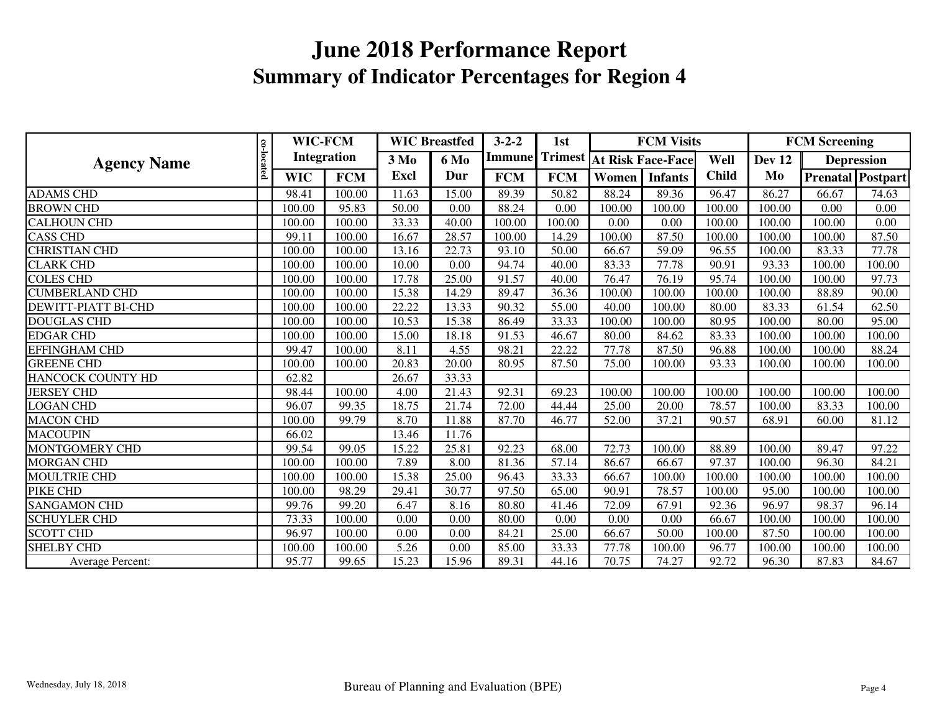| <b>Agency Name</b>         |            | WIC-FCM<br><b>Integration</b> |            | <b>WIC Breastfed</b> |       | $3 - 2 - 2$ | 1st            |                          | <b>FCM Visits</b> |              | <b>FCM Screening</b> |        |                          |
|----------------------------|------------|-------------------------------|------------|----------------------|-------|-------------|----------------|--------------------------|-------------------|--------------|----------------------|--------|--------------------------|
|                            |            |                               |            | $3\,M0$<br>6 Mo      |       | Immunel     | <b>Trimest</b> | <b>At Risk Face-Face</b> |                   | Well         | Dev 12               |        | <b>Depression</b>        |
|                            | co-located | <b>WIC</b>                    | <b>FCM</b> | Excl                 | Dur   | <b>FCM</b>  | <b>FCM</b>     | Women                    | <b>Infants</b>    | <b>Child</b> | Mo                   |        | <b>Prenatal</b> Postpart |
| <b>ADAMS CHD</b>           |            | 98.41                         | 100.00     | 11.63                | 15.00 | 89.39       | 50.82          | 88.24                    | 89.36             | 96.47        | 86.27                | 66.67  | 74.63                    |
| <b>BROWN CHD</b>           |            | 100.00                        | 95.83      | 50.00                | 0.00  | 88.24       | 0.00           | 100.00                   | 100.00            | 100.00       | 100.00               | 0.00   | 0.00                     |
| <b>CALHOUN CHD</b>         |            | 100.00                        | 100.00     | 33.33                | 40.00 | 100.00      | 100.00         | 0.00                     | 0.00              | 100.00       | 100.00               | 100.00 | 0.00                     |
| <b>CASS CHD</b>            |            | 99.11                         | 100.00     | 16.67                | 28.57 | 100.00      | 14.29          | 100.00                   | 87.50             | 100.00       | 100.00               | 100.00 | 87.50                    |
| <b>CHRISTIAN CHD</b>       |            | 100.00                        | 100.00     | 13.16                | 22.73 | 93.10       | 50.00          | 66.67                    | 59.09             | 96.55        | 100.00               | 83.33  | 77.78                    |
| <b>CLARK CHD</b>           |            | 100.00                        | 100.00     | 10.00                | 0.00  | 94.74       | 40.00          | 83.33                    | 77.78             | 90.91        | 93.33                | 100.00 | 100.00                   |
| <b>COLES CHD</b>           |            | 100.00                        | 100.00     | 17.78                | 25.00 | 91.57       | 40.00          | 76.47                    | 76.19             | 95.74        | 100.00               | 100.00 | 97.73                    |
| <b>CUMBERLAND CHD</b>      |            | 100.00                        | 100.00     | 15.38                | 14.29 | 89.47       | 36.36          | 100.00                   | 100.00            | 100.00       | 100.00               | 88.89  | 90.00                    |
| <b>DEWITT-PIATT BI-CHD</b> |            | 100.00                        | 100.00     | 22.22                | 13.33 | 90.32       | 55.00          | 40.00                    | 100.00            | 80.00        | 83.33                | 61.54  | 62.50                    |
| <b>DOUGLAS CHD</b>         |            | 100.00                        | 100.00     | 10.53                | 15.38 | 86.49       | 33.33          | 100.00                   | 100.00            | 80.95        | 100.00               | 80.00  | 95.00                    |
| <b>EDGAR CHD</b>           |            | 100.00                        | 100.00     | 15.00                | 18.18 | 91.53       | 46.67          | 80.00                    | 84.62             | 83.33        | 100.00               | 100.00 | 100.00                   |
| EFFINGHAM CHD              |            | 99.47                         | 100.00     | 8.11                 | 4.55  | 98.21       | 22.22          | 77.78                    | 87.50             | 96.88        | 100.00               | 100.00 | 88.24                    |
| <b>GREENE CHD</b>          |            | 100.00                        | 100.00     | 20.83                | 20.00 | 80.95       | 87.50          | 75.00                    | 100.00            | 93.33        | 100.00               | 100.00 | 100.00                   |
| <b>HANCOCK COUNTY HD</b>   |            | 62.82                         |            | 26.67                | 33.33 |             |                |                          |                   |              |                      |        |                          |
| <b>JERSEY CHD</b>          |            | 98.44                         | 100.00     | 4.00                 | 21.43 | 92.31       | 69.23          | 100.00                   | 100.00            | 100.00       | 100.00               | 100.00 | 100.00                   |
| <b>LOGAN CHD</b>           |            | 96.07                         | 99.35      | 18.75                | 21.74 | 72.00       | 44.44          | 25.00                    | 20.00             | 78.57        | 100.00               | 83.33  | 100.00                   |
| <b>MACON CHD</b>           |            | 100.00                        | 99.79      | 8.70                 | 11.88 | 87.70       | 46.77          | 52.00                    | 37.21             | 90.57        | 68.91                | 60.00  | 81.12                    |
| <b>MACOUPIN</b>            |            | 66.02                         |            | 13.46                | 11.76 |             |                |                          |                   |              |                      |        |                          |
| <b>MONTGOMERY CHD</b>      |            | 99.54                         | 99.05      | 15.22                | 25.81 | 92.23       | 68.00          | 72.73                    | 100.00            | 88.89        | 100.00               | 89.47  | 97.22                    |
| <b>MORGAN CHD</b>          |            | 100.00                        | 100.00     | 7.89                 | 8.00  | 81.36       | 57.14          | 86.67                    | 66.67             | 97.37        | 100.00               | 96.30  | 84.21                    |
| <b>MOULTRIE CHD</b>        |            | 100.00                        | 100.00     | 15.38                | 25.00 | 96.43       | 33.33          | 66.67                    | 100.00            | 100.00       | 100.00               | 100.00 | 100.00                   |
| PIKE CHD                   |            | 100.00                        | 98.29      | 29.41                | 30.77 | 97.50       | 65.00          | 90.91                    | 78.57             | 100.00       | 95.00                | 100.00 | 100.00                   |
| <b>SANGAMON CHD</b>        |            | 99.76                         | 99.20      | 6.47                 | 8.16  | 80.80       | 41.46          | 72.09                    | 67.91             | 92.36        | 96.97                | 98.37  | 96.14                    |
| <b>SCHUYLER CHD</b>        |            | 73.33                         | 100.00     | 0.00                 | 0.00  | 80.00       | 0.00           | 0.00                     | 0.00              | 66.67        | 100.00               | 100.00 | 100.00                   |
| <b>SCOTT CHD</b>           |            | 96.97                         | 100.00     | 0.00                 | 0.00  | 84.21       | 25.00          | 66.67                    | 50.00             | 100.00       | 87.50                | 100.00 | 100.00                   |
| <b>SHELBY CHD</b>          |            | 100.00                        | 100.00     | 5.26                 | 0.00  | 85.00       | 33.33          | 77.78                    | 100.00            | 96.77        | 100.00               | 100.00 | 100.00                   |
| Average Percent:           |            | 95.77                         | 99.65      | 15.23                | 15.96 | 89.31       | 44.16          | 70.75                    | 74.27             | 92.72        | 96.30                | 87.83  | 84.67                    |